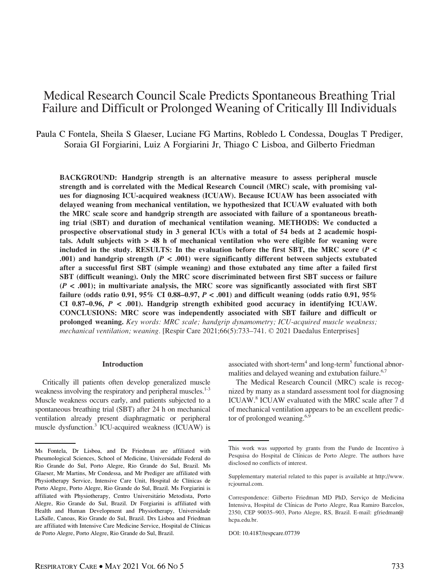# Medical Research Council Scale Predicts Spontaneous Breathing Trial Failure and Difficult or Prolonged Weaning of Critically Ill Individuals

Paula C Fontela, Sheila S Glaeser, Luciane FG Martins, Robledo L Condessa, Douglas T Prediger, Soraia GI Forgiarini, Luiz A Forgiarini Jr, Thiago C Lisboa, and Gilberto Friedman

BACKGROUND: Handgrip strength is an alternative measure to assess peripheral muscle strength and is correlated with the Medical Research Council (MRC) scale, with promising values for diagnosing ICU-acquired weakness (ICUAW). Because ICUAW has been associated with delayed weaning from mechanical ventilation, we hypothesized that ICUAW evaluated with both the MRC scale score and handgrip strength are associated with failure of a spontaneous breathing trial (SBT) and duration of mechanical ventilation weaning. METHODS: We conducted a prospective observational study in 3 general ICUs with a total of 54 beds at 2 academic hospitals. Adult subjects with > 48 h of mechanical ventilation who were eligible for weaning were included in the study. RESULTS: In the evaluation before the first SBT, the MRC score ( $P \le$ .001) and handgrip strength ( $P < .001$ ) were significantly different between subjects extubated after a successful first SBT (simple weaning) and those extubated any time after a failed first SBT (difficult weaning). Only the MRC score discriminated between first SBT success or failure  $(P < .001)$ ; in multivariate analysis, the MRC score was significantly associated with first SBT failure (odds ratio 0.91, 95% CI 0.88–0.97,  $P < .001$ ) and difficult weaning (odds ratio 0.91, 95% CI 0.87-0.96,  $P < .001$ ). Handgrip strength exhibited good accuracy in identifying ICUAW. CONCLUSIONS: MRC score was independently associated with SBT failure and difficult or prolonged weaning. Key words: MRC scale; handgrip dynamometry; ICU-acquired muscle weakness; mechanical ventilation; weaning. [Respir Care 2021;66(5):733–741. © 2021 Daedalus Enterprises]

#### Introduction

Critically ill patients often develop generalized muscle weakness involving the respiratory and peripheral muscles.<sup>1-3</sup> Muscle weakness occurs early, and patients subjected to a spontaneous breathing trial (SBT) after 24 h on mechanical ventilation already present diaphragmatic or peripheral muscle dysfunction.3 ICU-acquired weakness (ICUAW) is associated with short-term<sup>4</sup> and long-term<sup>5</sup> functional abnormalities and delayed weaning and extubation failure.<sup>6,7</sup>

The Medical Research Council (MRC) scale is recognized by many as a standard assessment tool for diagnosing ICUAW.8 ICUAW evaluated with the MRC scale after 7 d of mechanical ventilation appears to be an excellent predictor of prolonged weaning.<sup>6,9</sup>

Ms Fontela, Dr Lisboa, and Dr Friedman are affiliated with Pneumological Sciences, School of Medicine, Universidade Federal do Rio Grande do Sul, Porto Alegre, Rio Grande do Sul, Brazil. Ms Glaeser, Mr Martins, Mr Condessa, and Mr Prediger are affiliated with Physiotherapy Service, Intensive Care Unit, Hospital de Clínicas de Porto Alegre, Porto Alegre, Rio Grande do Sul, Brazil. Ms Forgiarini is affiliated with Physiotherapy, Centro Universitário Metodista, Porto Alegre, Rio Grande do Sul, Brazil. Dr Forgiarini is affiliated with Health and Human Development and Physiotherapy, Universidade LaSalle, Canoas, Rio Grande do Sul, Brazil. Drs Lisboa and Friedman are affiliated with Intensive Care Medicine Service, Hospital de Clínicas de Porto Alegre, Porto Alegre, Rio Grande do Sul, Brazil.

This work was supported by grants from the Fundo de Incentivo à Pesquisa do Hospital de Clínicas de Porto Alegre. The authors have disclosed no conflicts of interest.

Supplementary material related to this paper is available at [http://www.](http://www.rcjournal.com) [rcjournal.com](http://www.rcjournal.com).

Correspondence: Gilberto Friedman MD PhD, Serviço de Medicina Intensiva, Hospital de Clínicas de Porto Alegre, Rua Ramiro Barcelos, 2350, CEP 90035–903, Porto Alegre, RS, Brazil. E-mail: [gfriedman@](mailto:gfriedman@hcpa.edu.br) [hcpa.edu.br.](mailto:gfriedman@hcpa.edu.br)

DOI: 10.4187/respcare.07739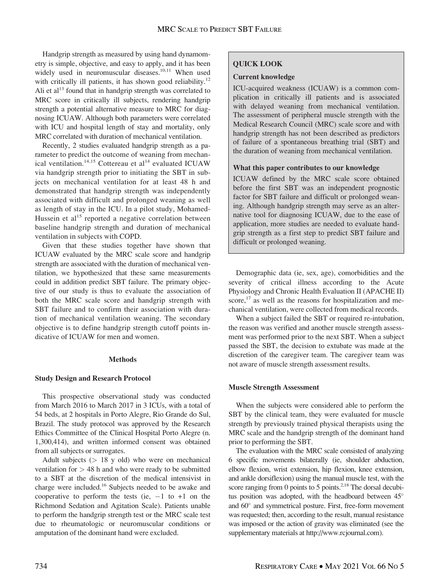Handgrip strength as measured by using hand dynamometry is simple, objective, and easy to apply, and it has been widely used in neuromuscular diseases.<sup>10,11</sup> When used with critically ill patients, it has shown good reliability.<sup>12</sup> Ali et al<sup>13</sup> found that in handgrip strength was correlated to MRC score in critically ill subjects, rendering handgrip strength a potential alternative measure to MRC for diagnosing ICUAW. Although both parameters were correlated with ICU and hospital length of stay and mortality, only MRC correlated with duration of mechanical ventilation.

Recently, 2 studies evaluated handgrip strength as a parameter to predict the outcome of weaning from mechanical ventilation.<sup>14,15</sup> Cottereau et al<sup>14</sup> evaluated ICUAW via handgrip strength prior to initiating the SBT in subjects on mechanical ventilation for at least 48 h and demonstrated that handgrip strength was independently associated with difficult and prolonged weaning as well as length of stay in the ICU. In a pilot study, Mohamed-Hussein et al<sup>15</sup> reported a negative correlation between baseline handgrip strength and duration of mechanical ventilation in subjects with COPD.

Given that these studies together have shown that ICUAW evaluated by the MRC scale score and handgrip strength are associated with the duration of mechanical ventilation, we hypothesized that these same measurements could in addition predict SBT failure. The primary objective of our study is thus to evaluate the association of both the MRC scale score and handgrip strength with SBT failure and to confirm their association with duration of mechanical ventilation weaning. The secondary objective is to define handgrip strength cutoff points indicative of ICUAW for men and women.

## **Methods**

## Study Design and Research Protocol

This prospective observational study was conducted from March 2016 to March 2017 in 3 ICUs, with a total of 54 beds, at 2 hospitals in Porto Alegre, Rio Grande do Sul, Brazil. The study protocol was approved by the Research Ethics Committee of the Clinical Hospital Porto Alegre (n. 1,300,414), and written informed consent was obtained from all subjects or surrogates.

Adult subjects  $($  18 y old) who were on mechanical ventilation for  $> 48$  h and who were ready to be submitted to a SBT at the discretion of the medical intensivist in charge were included.16 Subjects needed to be awake and cooperative to perform the tests (ie,  $-1$  to  $+1$  on the Richmond Sedation and Agitation Scale). Patients unable to perform the handgrip strength test or the MRC scale test due to rheumatologic or neuromuscular conditions or amputation of the dominant hand were excluded.

# QUICK LOOK

# Current knowledge

ICU-acquired weakness (ICUAW) is a common complication in critically ill patients and is associated with delayed weaning from mechanical ventilation. The assessment of peripheral muscle strength with the Medical Research Council (MRC) scale score and with handgrip strength has not been described as predictors of failure of a spontaneous breathing trial (SBT) and the duration of weaning from mechanical ventilation.

# What this paper contributes to our knowledge

ICUAW defined by the MRC scale score obtained before the first SBT was an independent prognostic factor for SBT failure and difficult or prolonged weaning. Although handgrip strength may serve as an alternative tool for diagnosing ICUAW, due to the ease of application, more studies are needed to evaluate handgrip strength as a first step to predict SBT failure and difficult or prolonged weaning.

Demographic data (ie, sex, age), comorbidities and the severity of critical illness according to the Acute Physiology and Chronic Health Evaluation II (APACHE II) score, $17$  as well as the reasons for hospitalization and mechanical ventilation, were collected from medical records.

When a subject failed the SBT or required re-intubation, the reason was verified and another muscle strength assessment was performed prior to the next SBT. When a subject passed the SBT, the decision to extubate was made at the discretion of the caregiver team. The caregiver team was not aware of muscle strength assessment results.

## Muscle Strength Assessment

When the subjects were considered able to perform the SBT by the clinical team, they were evaluated for muscle strength by previously trained physical therapists using the MRC scale and the handgrip strength of the dominant hand prior to performing the SBT.

The evaluation with the MRC scale consisted of analyzing 6 specific movements bilaterally (ie, shoulder abduction, elbow flexion, wrist extension, hip flexion, knee extension, and ankle dorsiflexion) using the manual muscle test, with the score ranging from 0 points to 5 points.<sup>2,18</sup> The dorsal decubitus position was adopted, with the headboard between 45° and  $60^\circ$  and symmetrical posture. First, free-form movement was requested; then, according to the result, manual resistance was imposed or the action of gravity was eliminated (see the supplementary materials at [http://www.rcjournal.com\)](http://www.rcjournal.com).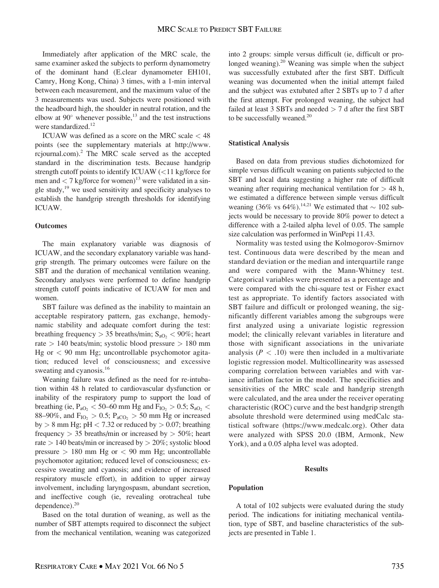Immediately after application of the MRC scale, the same examiner asked the subjects to perform dynamometry of the dominant hand (E.clear dynamometer EH101, Camry, Hong Kong, China) 3 times, with a 1-min interval between each measurement, and the maximum value of the 3 measurements was used. Subjects were positioned with the headboard high, the shoulder in neutral rotation, and the elbow at  $90^\circ$  whenever possible,<sup>13</sup> and the test instructions were standardized.<sup>12</sup>

ICUAW was defined as a score on the MRC scale < 48 points (see the supplementary materials at [http://www.](http://www.rcjournal.com) [rcjournal.com](http://www.rcjournal.com)).2 The MRC scale served as the accepted standard in the discrimination tests. Because handgrip strength cutoff points to identify ICUAW  $\ll 11$  kg/force for men and  $\langle 7 \text{ kg/force for women} \rangle^{13}$  were validated in a single study, $19$  we used sensitivity and specificity analyses to establish the handgrip strength thresholds for identifying ICUAW.

# **Outcomes**

The main explanatory variable was diagnosis of ICUAW, and the secondary explanatory variable was handgrip strength. The primary outcomes were failure on the SBT and the duration of mechanical ventilation weaning. Secondary analyses were performed to define handgrip strength cutoff points indicative of ICUAW for men and women.

SBT failure was defined as the inability to maintain an acceptable respiratory pattern, gas exchange, hemodynamic stability and adequate comfort during the test: breathing frequency  $> 35$  breaths/min;  $S_{aO_2} < 90\%$ ; heart rate  $> 140$  beats/min; systolic blood pressure  $> 180$  mm  $Hg$  or  $\lt 90$  mm Hg; uncontrollable psychomotor agitation; reduced level of consciousness; and excessive sweating and cyanosis.<sup>16</sup>

Weaning failure was defined as the need for re-intubation within 48 h related to cardiovascular dysfunction or inability of the respiratory pump to support the load of breathing (ie,  $P_{aO_2}$  < 50–60 mm Hg and  $F_{IO_2}$  > 0.5;  $S_{aO_2}$  < 88–90%, and  $F_{IO_2} > 0.5$ ;  $P_{aCO_2} > 50$  mm Hg or increased by  $> 8$  mm Hg; pH  $< 7.32$  or reduced by  $> 0.07$ ; breathing frequency  $> 35$  breaths/min or increased by  $> 50\%$ ; heart rate  $> 140$  beats/min or increased by  $> 20\%$ ; systolic blood pressure  $> 180$  mm Hg or  $< 90$  mm Hg; uncontrollable psychomotor agitation; reduced level of consciousness; excessive sweating and cyanosis; and evidence of increased respiratory muscle effort), in addition to upper airway involvement, including laryngospasm, abundant secretion, and ineffective cough (ie, revealing orotracheal tube dependence). $20$ 

Based on the total duration of weaning, as well as the number of SBT attempts required to disconnect the subject from the mechanical ventilation, weaning was categorized into 2 groups: simple versus difficult (ie, difficult or prolonged weaning).<sup>20</sup> Weaning was simple when the subject was successfully extubated after the first SBT. Difficult weaning was documented when the initial attempt failed and the subject was extubated after 2 SBTs up to 7 d after the first attempt. For prolonged weaning, the subject had failed at least 3 SBTs and needed  $> 7$  d after the first SBT to be successfully weaned.<sup>20</sup>

## Statistical Analysis

Based on data from previous studies dichotomized for simple versus difficult weaning on patients subjected to the SBT and local data suggesting a higher rate of difficult weaning after requiring mechanical ventilation for  $> 48$  h, we estimated a difference between simple versus difficult weaning (36% vs 64%).<sup>14,21</sup> We estimated that  $\sim$  102 subjects would be necessary to provide 80% power to detect a difference with a 2-tailed alpha level of 0.05. The sample size calculation was performed in WinPepi 11.43.

Normality was tested using the Kolmogorov-Smirnov test. Continuous data were described by the mean and standard deviation or the median and interquartile range and were compared with the Mann-Whitney test. Categorical variables were presented as a percentage and were compared with the chi-square test or Fisher exact test as appropriate. To identify factors associated with SBT failure and difficult or prolonged weaning, the significantly different variables among the subgroups were first analyzed using a univariate logistic regression model; the clinically relevant variables in literature and those with significant associations in the univariate analysis ( $P < .10$ ) were then included in a multivariate logistic regression model. Multicollinearity was assessed comparing correlation between variables and with variance inflation factor in the model. The specificities and sensitivities of the MRC scale and handgrip strength were calculated, and the area under the receiver operating characteristic (ROC) curve and the best handgrip strength absolute threshold were determined using medCalc statistical software (<https://www.medcalc.org>). Other data were analyzed with SPSS 20.0 (IBM, Armonk, New York), and a 0.05 alpha level was adopted.

#### Results

#### Population

A total of 102 subjects were evaluated during the study period. The indications for initiating mechanical ventilation, type of SBT, and baseline characteristics of the subjects are presented in Table 1.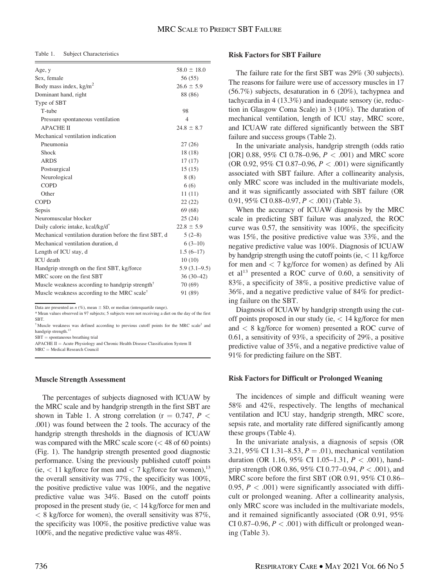Table 1. Subject Characteristics

| Age, y                                                      | $58.0 \pm 18.0$ |
|-------------------------------------------------------------|-----------------|
| Sex, female                                                 | 56(55)          |
| Body mass index, $kg/m2$                                    | $26.6 \pm 5.9$  |
| Dominant hand, right                                        | 88 (86)         |
| Type of SBT                                                 |                 |
| T-tube                                                      | 98              |
| Pressure spontaneous ventilation                            | $\overline{4}$  |
| <b>APACHE II</b>                                            | $24.8 \pm 8.7$  |
| Mechanical ventilation indication                           |                 |
| Pneumonia                                                   | 27(26)          |
| Shock                                                       | 18(18)          |
| <b>ARDS</b>                                                 | 17(17)          |
| Postsurgical                                                | 15(15)          |
| Neurological                                                | 8(8)            |
| <b>COPD</b>                                                 | 6(6)            |
| Other                                                       | 11(11)          |
| <b>COPD</b>                                                 | 22(22)          |
| Sepsis                                                      | 69(68)          |
| Neuromuscular blocker                                       | 25(24)          |
| Daily caloric intake, kcal/kg/d <sup>*</sup>                | $22.8 \pm 5.9$  |
| Mechanical ventilation duration before the first SBT, d     | $5(2-8)$        |
| Mechanical ventilation duration, d                          | $6(3-10)$       |
| Length of ICU stay, d                                       | $1.5(6-17)$     |
| <b>ICU</b> death                                            | 10(10)          |
| Handgrip strength on the first SBT, kg/force                | $5.9(3.1-9.5)$  |
| MRC score on the first SBT                                  | $36(30-42)$     |
| Muscle weakness according to handgrip strength <sup>†</sup> | 70(69)          |
| Muscle weakness according to the MRC scale <sup>†</sup>     | 91 (89)         |
|                                                             |                 |

Data are presented as  $n$  (%), mean  $\pm$  SD, or median (interquartile range).

\* Mean values observed in 97 subjects; 5 subjects were not receiving a diet on the day of the first SBT.

† Muscle weakness was defined according to previous cutoff points for the MRC scale2 and handgrip strength.<sup>13</sup>

 $SBT =$  spontaneous breathing trial

 $APACHE II = Acute Physiology and Chronic Health Disease Classification System II$  $MRC = Medical Research Council$ 

## Muscle Strength Assessment

The percentages of subjects diagnosed with ICUAW by the MRC scale and by handgrip strength in the first SBT are shown in Table 1. A strong correlation ( $r = 0.747$ ,  $P <$ .001) was found between the 2 tools. The accuracy of the handgrip strength thresholds in the diagnosis of ICUAW was compared with the MRC scale score  $(< 48$  of 60 points) (Fig. 1). The handgrip strength presented good diagnostic performance. Using the previously published cutoff points (ie,  $\lt 11$  kg/force for men and  $\lt 7$  kg/force for women),<sup>13</sup> the overall sensitivity was 77%, the specificity was 100%, the positive predictive value was 100%, and the negative predictive value was 34%. Based on the cutoff points proposed in the present study (ie, < 14 kg/force for men and  $\langle 8 \text{ kg/force}$  for women), the overall sensitivity was 87%, the specificity was 100%, the positive predictive value was 100%, and the negative predictive value was 48%.

## Risk Factors for SBT Failure

The failure rate for the first SBT was 29% (30 subjects). The reasons for failure were use of accessory muscles in 17 (56.7%) subjects, desaturation in 6 (20%), tachypnea and tachycardia in 4 (13.3%) and inadequate sensory (ie, reduction in Glasgow Coma Scale) in 3 (10%). The duration of mechanical ventilation, length of ICU stay, MRC score, and ICUAW rate differed significantly between the SBT failure and success groups (Table 2).

In the univariate analysis, handgrip strength (odds ratio [OR] 0.88, 95% CI 0.78–0.96,  $P < .001$ ) and MRC score (OR 0.92, 95% CI 0.87–0.96,  $P < .001$ ) were significantly associated with SBT failure. After a collinearity analysis, only MRC score was included in the multivariate models, and it was significantly associated with SBT failure (OR 0.91, 95% CI 0.88–0.97,  $P < .001$ ) (Table 3).

When the accuracy of ICUAW diagnosis by the MRC scale in predicting SBT failure was analyzed, the ROC curve was 0.57, the sensitivity was 100%, the specificity was 15%, the positive predictive value was 33%, and the negative predictive value was 100%. Diagnosis of ICUAW by handgrip strength using the cutoff points (ie,  $< 11$  kg/force for men and  $\langle 7 \text{ kg/force for women} \rangle$  as defined by Ali et al<sup>13</sup> presented a ROC curve of 0.60, a sensitivity of 83%, a specificity of 38%, a positive predictive value of 36%, and a negative predictive value of 84% for predicting failure on the SBT.

Diagnosis of ICUAW by handgrip strength using the cutoff points proposed in our study (ie,  $\lt$  14 kg/force for men and  $\langle 8 \text{ kg/force} \rangle$  for women) presented a ROC curve of 0.61, a sensitivity of 93%, a specificity of 29%, a positive predictive value of 35%, and a negative predictive value of 91% for predicting failure on the SBT.

## Risk Factors for Difficult or Prolonged Weaning

The incidences of simple and difficult weaning were 58% and 42%, respectively. The lengths of mechanical ventilation and ICU stay, handgrip strength, MRC score, sepsis rate, and mortality rate differed significantly among these groups (Table 4).

In the univariate analysis, a diagnosis of sepsis (OR 3.21, 95% CI 1.31–8.53,  $P = .01$ ), mechanical ventilation duration (OR 1.16, 95% CI 1.05–1.31,  $P < .001$ ), handgrip strength (OR 0.86, 95% CI 0.77–0.94,  $P < .001$ ), and MRC score before the first SBT (OR 0.91, 95% CI 0.86– 0.95,  $P < .001$ ) were significantly associated with difficult or prolonged weaning. After a collinearity analysis, only MRC score was included in the multivariate models, and it remained significantly associated (OR 0.91, 95% CI 0.87–0.96,  $P < .001$ ) with difficult or prolonged weaning (Table 3).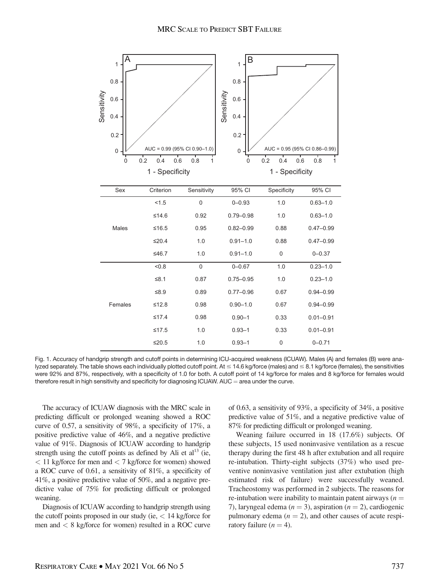

Fig. 1. Accuracy of handgrip strength and cutoff points in determining ICU-acquired weakness (ICUAW). Males (A) and females (B) were analyzed separately. The table shows each individually plotted cutoff point. At  $\leq 14.6$  kg/force (males) and  $\leq 8.1$  kg/force (females), the sensitivities were 92% and 87%, respectively, with a specificity of 1.0 for both. A cutoff point of 14 kg/force for males and 8 kg/force for females would therefore result in high sensitivity and specificity for diagnosing ICUAW.  $AUC =$  area under the curve.

The accuracy of ICUAW diagnosis with the MRC scale in predicting difficult or prolonged weaning showed a ROC curve of 0.57, a sensitivity of 98%, a specificity of 17%, a positive predictive value of 46%, and a negative predictive value of 91%. Diagnosis of ICUAW according to handgrip strength using the cutoff points as defined by Ali et al<sup>13</sup> (ie,  $<$  11 kg/force for men and  $<$  7 kg/force for women) showed a ROC curve of 0.61, a sensitivity of 81%, a specificity of 41%, a positive predictive value of 50%, and a negative predictive value of 75% for predicting difficult or prolonged weaning.

Diagnosis of ICUAW according to handgrip strength using the cutoff points proposed in our study (ie,  $< 14$  kg/force for men and < 8 kg/force for women) resulted in a ROC curve

of 0.63, a sensitivity of 93%, a specificity of 34%, a positive predictive value of 51%, and a negative predictive value of 87% for predicting difficult or prolonged weaning.

Weaning failure occurred in 18 (17.6%) subjects. Of these subjects, 15 used noninvasive ventilation as a rescue therapy during the first 48 h after extubation and all require re-intubation. Thirty-eight subjects (37%) who used preventive noninvasive ventilation just after extubation (high estimated risk of failure) were successfully weaned. Tracheostomy was performed in 2 subjects. The reasons for re-intubation were inability to maintain patent airways  $(n =$ 7), laryngeal edema ( $n = 3$ ), aspiration ( $n = 2$ ), cardiogenic pulmonary edema  $(n = 2)$ , and other causes of acute respiratory failure  $(n = 4)$ .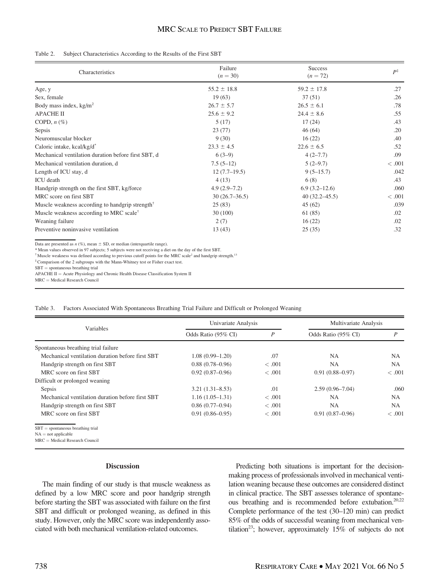# MRC SCALE TO PREDICT SBT FAILURE

#### Table 2. Subject Characteristics According to the Results of the First SBT

| Characteristics                                                                | Failure<br>$(n = 30)$ | <b>Success</b><br>$(n = 72)$ | $P^{\ddagger}$ |
|--------------------------------------------------------------------------------|-----------------------|------------------------------|----------------|
| Age, y                                                                         | $55.2 \pm 18.8$       | $59.2 \pm 17.8$              | .27            |
| Sex, female                                                                    | 19(63)                | 37(51)                       | .26            |
| Body mass index, $kg/m2$                                                       | $26.7 \pm 5.7$        | $26.5 \pm 6.1$               | .78            |
| <b>APACHE II</b>                                                               | $25.6 \pm 9.2$        | $24.4 \pm 8.6$               | .55            |
| COPD, $n$ $(\%)$                                                               | 5(17)                 | 17(24)                       | .43            |
| Sepsis                                                                         | 23(77)                | 46(64)                       | .20            |
| Neuromuscular blocker                                                          | 9(30)                 | 16(22)                       | .40            |
| Caloric intake, kcal/kg/d*                                                     | $23.3 \pm 4.5$        | $22.6 \pm 6.5$               | .52            |
| Mechanical ventilation duration before first SBT, d                            | $6(3-9)$              | $4(2-7.7)$                   | .09            |
| Mechanical ventilation duration, d                                             | $7.5(5-12)$           | $5(2-9.7)$                   | < 0.001        |
| Length of ICU stay, d                                                          | $12(7.7-19.5)$        | $9(5-15.7)$                  | .042           |
| <b>ICU</b> death                                                               | 4(13)                 | 6(8)                         | .43            |
| Handgrip strength on the first SBT, kg/force                                   | $4.9(2.9 - 7.2)$      | $6.9(3.2-12.6)$              | .060           |
| MRC score on first SBT                                                         | $30(26.7-36.5)$       | $40(32.2 - 45.5)$            | < 0.001        |
| Muscle weakness according to handgrip strength <sup><math>\dagger</math></sup> | 25(83)                | 45(62)                       | .039           |
| Muscle weakness according to MRC scale <sup>†</sup>                            | 30(100)               | 61 (85)                      | .02            |
| Weaning failure                                                                | 2(7)                  | 16(22)                       | .02            |
| Preventive noninvasive ventilation                                             | 13(43)                | 25(35)                       | .32            |

Data are presented as  $n$  (%), mean  $\pm$  SD, or median (interquartile range).

\* Mean values observed in 97 subjects; 5 subjects were not receiving a diet on the day of the first SBT.

† Muscle weakness was defined according to previous cutoff points for the MRC scale<sup>2</sup> and handgrip strength.13

‡Comparison of the 2 subgroups with the Mann-Whitney test or Fisher exact test.

 $\operatorname{SBT} =$  spontaneous breathing trial

APACHE II = Acute Physiology and Chronic Health Disease Classification System II  $MRC = Medical Research Council$ 

|  |  |  |  | Table 3. Factors Associated With Spontaneous Breathing Trial Failure and Difficult or Prolonged Weaning |  |  |
|--|--|--|--|---------------------------------------------------------------------------------------------------------|--|--|
|--|--|--|--|---------------------------------------------------------------------------------------------------------|--|--|

|                                                              | Univariate Analysis |        | Multivariate Analysis |                |
|--------------------------------------------------------------|---------------------|--------|-----------------------|----------------|
| Variables                                                    | Odds Ratio (95% CI) | P      | Odds Ratio (95% CI)   | $\overline{P}$ |
| Spontaneous breathing trial failure                          |                     |        |                       |                |
| Mechanical ventilation duration before first SBT             | $1.08(0.99 - 1.20)$ | .07    | NA.                   | <b>NA</b>      |
| Handgrip strength on first SBT                               | $0.88(0.78 - 0.96)$ | < .001 | <b>NA</b>             | <b>NA</b>      |
| MRC score on first SBT                                       | $0.92(0.87-0.96)$   | < .001 | $0.91(0.88 - 0.97)$   | <.001          |
| Difficult or prolonged weaning                               |                     |        |                       |                |
| Sepsis                                                       | $3.21(1.31 - 8.53)$ | .01    | $2.59(0.96 - 7.04)$   | .060           |
| Mechanical ventilation duration before first SBT             | $1.16(1.05-1.31)$   | < .001 | <b>NA</b>             | <b>NA</b>      |
| Handgrip strength on first SBT                               | $0.86(0.77-0.94)$   | < .001 | <b>NA</b>             | NA.            |
| MRC score on first SBT                                       | $0.91(0.86 - 0.95)$ | < .001 | $0.91(0.87-0.96)$     | <.001          |
| $SBT =$ spontaneous breathing trial<br>$NA = not applicable$ |                     |        |                       |                |

NA = not applicable<br>MRC = Medical Research Council

#### **Discussion**

The main finding of our study is that muscle weakness as defined by a low MRC score and poor handgrip strength before starting the SBT was associated with failure on the first SBT and difficult or prolonged weaning, as defined in this study. However, only the MRC score was independently associated with both mechanical ventilation-related outcomes.

Predicting both situations is important for the decisionmaking process of professionals involved in mechanical ventilation weaning because these outcomes are considered distinct in clinical practice. The SBT assesses tolerance of spontaneous breathing and is recommended before extubation.<sup>20,22</sup> Complete performance of the test (30–120 min) can predict 85% of the odds of successful weaning from mechanical ventilation<sup>23</sup>; however, approximately 15% of subjects do not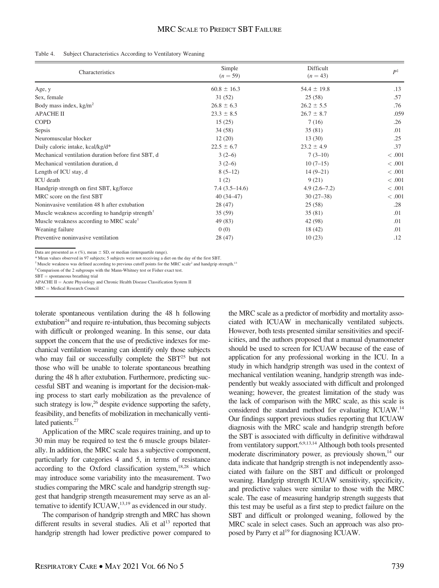# MRC SCALE TO PREDICT SBT FAILURE

#### Table 4. Subject Characteristics According to Ventilatory Weaning

| Characteristics                                                                | Simple<br>$(n = 59)$ | Difficult<br>$(n = 43)$ | $P^{\ddagger}$ |
|--------------------------------------------------------------------------------|----------------------|-------------------------|----------------|
| Age, y                                                                         | $60.8 \pm 16.3$      | $54.4 \pm 19.8$         | .13            |
| Sex, female                                                                    | 31(52)               | 25(58)                  | .57            |
| Body mass index, $kg/m2$                                                       | $26.8 \pm 6.3$       | $26.2 \pm 5.5$          | .76            |
| <b>APACHE II</b>                                                               | $23.3 \pm 8.5$       | $26.7 \pm 8.7$          | .059           |
| <b>COPD</b>                                                                    | 15(25)               | 7(16)                   | .26            |
| Sepsis                                                                         | 34(58)               | 35(81)                  | .01            |
| Neuromuscular blocker                                                          | 12(20)               | 13(30)                  | .25            |
| Daily caloric intake, kcal/kg/d*                                               | $22.5 \pm 6.7$       | $23.2 \pm 4.9$          | .37            |
| Mechanical ventilation duration before first SBT, d                            | $3(2-6)$             | $7(3-10)$               | < 0.001        |
| Mechanical ventilation duration, d                                             | $3(2-6)$             | $10(7-15)$              | < 0.001        |
| Length of ICU stay, d                                                          | $8(5-12)$            | $14(9-21)$              | < 0.001        |
| ICU death                                                                      | 1(2)                 | 9(21)                   | < 0.001        |
| Handgrip strength on first SBT, kg/force                                       | $7.4(3.5-14.6)$      | $4.9(2.6 - 7.2)$        | < 0.001        |
| MRC score on the first SBT                                                     | $40(34-47)$          | $30(27-38)$             | < 0.001        |
| Noninvasive ventilation 48 h after extubation                                  | 28(47)               | 25(58)                  | .28            |
| Muscle weakness according to handgrip strength <sup><math>\dagger</math></sup> | 35(59)               | 35(81)                  | .01            |
| Muscle weakness according to MRC scale <sup>†</sup>                            | 49 (83)              | 42 (98)                 | .01            |
| Weaning failure                                                                | 0(0)                 | 18 (42)                 | .01            |
| Preventive noninvasive ventilation                                             | 28(47)               | 10(23)                  | .12            |

Data are presented as  $n$  (%), mean  $\pm$  SD, or median (interquartile range).

\* Mean values observed in 97 subjects; 5 subjects were not receiving a diet on the day of the first SBT.

 $^{\dagger}$  Muscle weakness was defined according to previous cutoff points for the MRC scale<sup>2</sup> and handgrip strength.<sup>13</sup>

‡Comparison of the 2 subgroups with the Mann-Whitney test or Fisher exact test.

 $MRC = Medical Research Council$ 

tolerate spontaneous ventilation during the 48 h following extubation<sup>24</sup> and require re-intubation, thus becoming subjects with difficult or prolonged weaning. In this sense, our data support the concern that the use of predictive indexes for mechanical ventilation weaning can identify only those subjects who may fail or successfully complete the  $SBT<sup>25</sup>$  but not those who will be unable to tolerate spontaneous breathing during the 48 h after extubation. Furthermore, predicting successful SBT and weaning is important for the decision-making process to start early mobilization as the prevalence of such strategy is  $\text{low}^2$ <sup>26</sup> despite evidence supporting the safety, feasibility, and benefits of mobilization in mechanically ventilated patients.<sup>27</sup>

Application of the MRC scale requires training, and up to 30 min may be required to test the 6 muscle groups bilaterally. In addition, the MRC scale has a subjective component, particularly for categories 4 and 5, in terms of resistance according to the Oxford classification system, $18,28$  which may introduce some variability into the measurement. Two studies comparing the MRC scale and handgrip strength suggest that handgrip strength measurement may serve as an alternative to identify ICUAW,<sup>13,19</sup> as evidenced in our study.

The comparison of handgrip strength and MRC has shown different results in several studies. Ali et  $al<sup>13</sup>$  reported that handgrip strength had lower predictive power compared to the MRC scale as a predictor of morbidity and mortality associated with ICUAW in mechanically ventilated subjects. However, both tests presented similar sensitivities and specificities, and the authors proposed that a manual dynamometer should be used to screen for ICUAW because of the ease of application for any professional working in the ICU. In a study in which handgrip strength was used in the context of mechanical ventilation weaning, handgrip strength was independently but weakly associated with difficult and prolonged weaning; however, the greatest limitation of the study was the lack of comparison with the MRC scale, as this scale is considered the standard method for evaluating ICUAW.14 Our findings support previous studies reporting that ICUAW diagnosis with the MRC scale and handgrip strength before the SBT is associated with difficulty in definitive withdrawal from ventilatory support.6,9,13,14 Although both tools presented moderate discriminatory power, as previously shown,<sup>14</sup> our data indicate that handgrip strength is not independently associated with failure on the SBT and difficult or prolonged weaning. Handgrip strength ICUAW sensitivity, specificity, and predictive values were similar to those with the MRC scale. The ease of measuring handgrip strength suggests that this test may be useful as a first step to predict failure on the SBT and difficult or prolonged weaning, followed by the MRC scale in select cases. Such an approach was also proposed by Parry et al<sup>19</sup> for diagnosing ICUAW.

 $SBT =$  spontaneous breathing trial

APACHE II = Acute Physiology and Chronic Health Disease Classification System II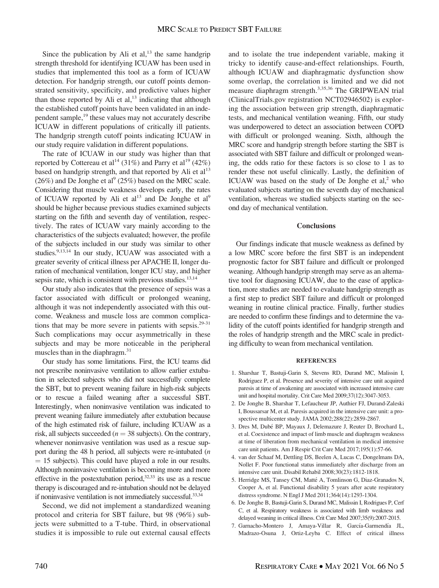Since the publication by Ali et al, $^{13}$  the same handgrip strength threshold for identifying ICUAW has been used in studies that implemented this tool as a form of ICUAW detection. For handgrip strength, our cutoff points demonstrated sensitivity, specificity, and predictive values higher than those reported by Ali et al, $^{13}$  indicating that although the established cutoff points have been validated in an independent sample,<sup>19</sup> these values may not accurately describe ICUAW in different populations of critically ill patients. The handgrip strength cutoff points indicating ICUAW in our study require validation in different populations.

The rate of ICUAW in our study was higher than that reported by Cottereau et al<sup>14</sup> (31%) and Parry et al<sup>19</sup> (42%) based on handgrip strength, and that reported by Ali et al<sup>13</sup>  $(26%)$  and De Jonghe et al<sup>9</sup>  $(25%)$  based on the MRC scale. Considering that muscle weakness develops early, the rates of ICUAW reported by Ali et al<sup>13</sup> and De Jonghe et al<sup>9</sup> should be higher because previous studies examined subjects starting on the fifth and seventh day of ventilation, respectively. The rates of ICUAW vary mainly according to the characteristics of the subjects evaluated; however, the profile of the subjects included in our study was similar to other studies.<sup>9,13,14</sup> In our study, ICUAW was associated with a greater severity of critical illness per APACHE II, longer duration of mechanical ventilation, longer ICU stay, and higher sepsis rate, which is consistent with previous studies. $13,14$ 

Our study also indicates that the presence of sepsis was a factor associated with difficult or prolonged weaning, although it was not independently associated with this outcome. Weakness and muscle loss are common complications that may be more severe in patients with sepsis. $29-31$ Such complications may occur asymmetrically in these subjects and may be more noticeable in the peripheral muscles than in the diaphragm.<sup>31</sup>

Our study has some limitations. First, the ICU teams did not prescribe noninvasive ventilation to allow earlier extubation in selected subjects who did not successfully complete the SBT, but to prevent weaning failure in high-risk subjects or to rescue a failed weaning after a successful SBT. Interestingly, when noninvasive ventilation was indicated to prevent weaning failure immediately after extubation because of the high estimated risk of failure, including ICUAW as a risk, all subjects succeeded ( $n = 38$  subjects). On the contrary, whenever noninvasive ventilation was used as a rescue support during the 48 h period, all subjects were re-intubated (n  $= 15$  subjects). This could have played a role in our results. Although noninvasive ventilation is becoming more and more effective in the postextubation period, $32,33$  its use as a rescue therapy is discouraged and re-intubation should not be delayed if noninvasive ventilation is not immediately successful.<sup>33,34</sup>

Second, we did not implement a standardized weaning protocol and criteria for SBT failure, but 98 (96%) subjects were submitted to a T-tube. Third, in observational studies it is impossible to rule out external causal effects

and to isolate the true independent variable, making it tricky to identify cause-and-effect relationships. Fourth, although ICUAW and diaphragmatic dysfunction show some overlap, the correlation is limited and we did not measure diaphragm strength.3,35,36 The GRIPWEAN trial (ClinicalTrials.gov registration NCT02946502) is exploring the association between grip strength, diaphragmatic tests, and mechanical ventilation weaning. Fifth, our study was underpowered to detect an association between COPD with difficult or prolonged weaning. Sixth, although the MRC score and handgrip strength before starting the SBT is associated with SBT failure and difficult or prolonged weaning, the odds ratio for these factors is so close to 1 as to render these not useful clinically. Lastly, the definition of ICUAW was based on the study of De Jonghe et  $al$ <sup>2</sup>, who evaluated subjects starting on the seventh day of mechanical ventilation, whereas we studied subjects starting on the second day of mechanical ventilation.

#### **Conclusions**

Our findings indicate that muscle weakness as defined by a low MRC score before the first SBT is an independent prognostic factor for SBT failure and difficult or prolonged weaning. Although handgrip strength may serve as an alternative tool for diagnosing ICUAW, due to the ease of application, more studies are needed to evaluate handgrip strength as a first step to predict SBT failure and difficult or prolonged weaning in routine clinical practice. Finally, further studies are needed to confirm these findings and to determine the validity of the cutoff points identified for handgrip strength and the roles of handgrip strength and the MRC scale in predicting difficulty to wean from mechanical ventilation.

#### **REFERENCES**

- 1. Sharshar T, Bastuji-Garin S, Stevens RD, Durand MC, Malissin I, Rodriguez P, et al. Presence and severity of intensive care unit acquired paresis at time of awakening are associated with increased intensive care unit and hospital mortality. Crit Care Med 2009;37(12):3047-3053.
- 2. De Jonghe B, Sharshar T, Lefaucheur JP, Authier FJ, Durand-Zaleski I, Boussarsar M, et al. Paresis acquired in the intensive care unit: a prospective multicenter study. JAMA 2002;288(22):2859-2867.
- 3. Dres M, Dube´ BP, Mayaux J, Delemazure J, Reuter D, Brochard L, et al. Coexistence and impact of limb muscle and diaphragm weakness at time of liberation from mechanical ventilation in medical intensive care unit patients. Am J Respir Crit Care Med 2017;195(1):57-66.
- 4. van der Schaaf M, Dettling DS, Beelen A, Lucas C, Dongelmans DA, Nollet F. Poor functional status immediately after discharge from an intensive care unit. Disabil Rehabil 2008;30(23):1812-1818.
- 5. Herridge MS, Tansey CM, Matté A, Tomlinson G, Diaz-Granados N, Cooper A, et al. Functional disability 5 years after acute respiratory distress syndrome. N Engl J Med 2011;364(14):1293-1304.
- 6. De Jonghe B, Bastuji-Garin S, Durand MC, Malissin I, Rodrigues P, Cerf C, et al. Respiratory weakness is associated with limb weakness and delayed weaning in critical illness. Crit Care Med 2007;35(9):2007-2015.
- 7. Garnacho-Montero J, Amaya-Villar R, García-Garmendía JL, Madrazo-Osuna J, Ortiz-Leyba C. Effect of critical illness